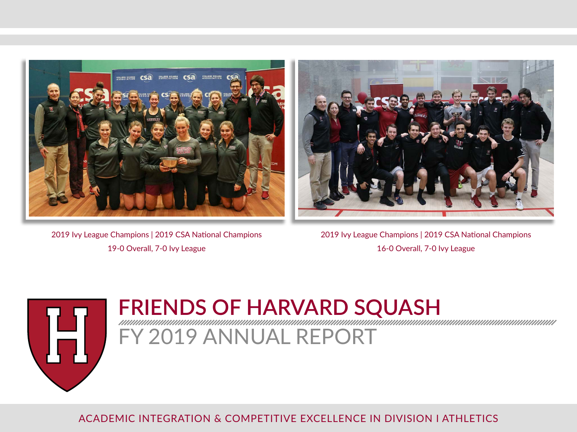



2019 Ivy League Champions | 2019 CSA National Champions 19-0 Overall, 7-0 Ivy League

2019 Ivy League Champions | 2019 CSA National Champions 16-0 Overall, 7-0 Ivy League



# **FRIENDS OF HARVARD SQUASH**

FY 2019 ANNUAL REPORT

ACADEMIC INTEGRATION & COMPETITIVE EXCELLENCE IN DIVISION I ATHLETICS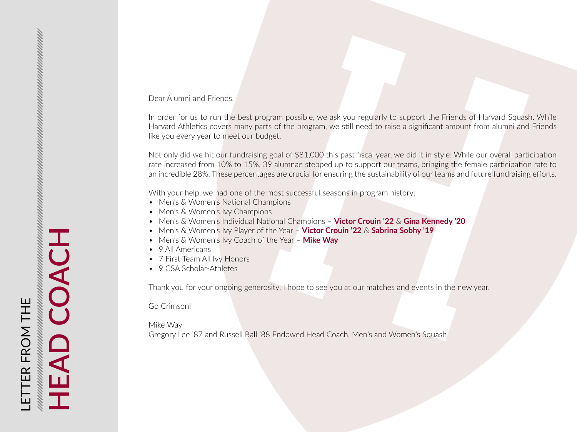#### Dear Alumni and Friends,

In order for us to run the best program possible, we ask you regularly to support the Friends of Harvard Squash. While Harvard Athletics covers many parts of the program, we still need to raise a significant amount from alumni and Friends like you every year to meet our budget.

Not only did we hit our fundraising goal of \$81,000 this past fiscal year, we did it in style: While our overall participation rate increased from 10% to 15%, 39 alumnae stepped up to support our teams, bringing the female participation rate to an incredible 28%. These percentages are crucial for ensuring the sustainability of our teams and future fundraising efforts.

With your help, we had one of the most successful seasons in program history:

- Men's & Women's National Champions
- Men's & Women's Ivy Champions
- Men's & Women's Individual National Champions **Victor Crouin '22** & **Gina Kennedy '20**
- Men's & Women's Ivy Player of the Year **Victor Crouin '22** & **Sabrina Sobhy '19**
- Men's & Women's Ivy Coach of the Year **Mike Way**
- 9 All Americans
- 7 First Team All Ivy Honors
- 9 CSA Scholar-Athletes

Thank you for your ongoing generosity. I hope to see you at our matches and events in the new year.

Go Crimson!

Mike Way

Gregory Lee '87 and Russell Ball '88 Endowed Head Coach, Men's and Women's Squash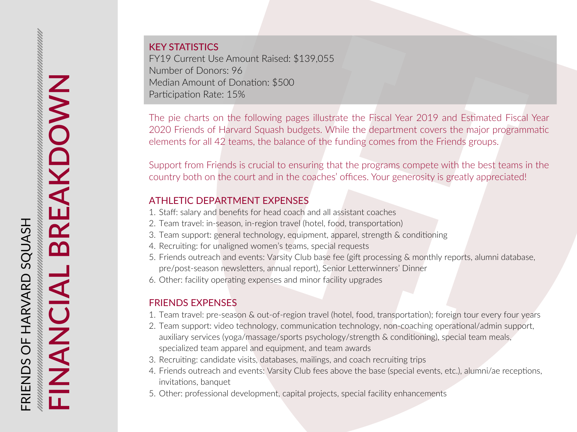KEY STATISTICS FY19 Current Use Amount Raised: \$139,055 Number of Donors: 96 Median Amount of Donation: \$500 Participation Rate: 15%

The pie charts on the following pages illustrate the Fiscal Year 2019 and Estimated Fiscal Year 2020 Friends of Harvard Squash budgets. While the department covers the major programmatic elements for all 42 teams, the balance of the funding comes from the Friends groups.

Support from Friends is crucial to ensuring that the programs compete with the best teams in the country both on the court and in the coaches' offices. Your generosity is greatly appreciated!

# ATHLETIC DEPARTMENT EXPENSES

- 1. Staff: salary and benefits for head coach and all assistant coaches
- 2. Team travel: in-season, in-region travel (hotel, food, transportation)
- 3. Team support: general technology, equipment, apparel, strength & conditioning
- 4. Recruiting: for unaligned women's teams, special requests
- 5. Friends outreach and events: Varsity Club base fee (gift processing & monthly reports, alumni database, pre/post-season newsletters, annual report), Senior Letterwinners' Dinner
- 6. Other: facility operating expenses and minor facility upgrades

# FRIENDS EXPENSES

- 1. Team travel: pre-season & out-of-region travel (hotel, food, transportation); foreign tour every four years
- 2. Team support: video technology, communication technology, non-coaching operational/admin support, auxiliary services (yoga/massage/sports psychology/strength & conditioning), special team meals, specialized team apparel and equipment, and team awards
- 3. Recruiting: candidate visits, databases, mailings, and coach recruiting trips
- 4. Friends outreach and events: Varsity Club fees above the base (special events, etc.), alumni/ae receptions, invitations, banquet
- 5. Other: professional development, capital projects, special facility enhancements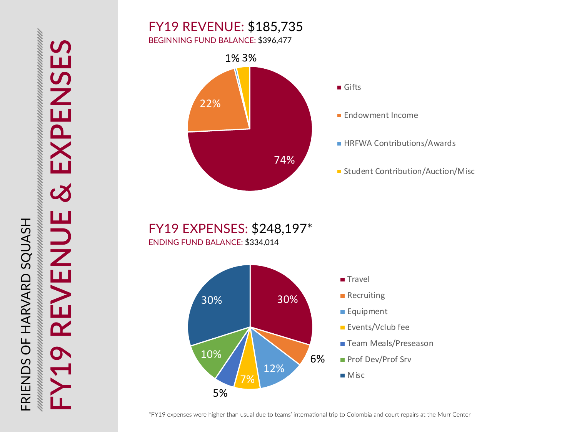# FY19 REVENUE: \$185,735

BEGINNING FUND BALANCE: \$396,477



**Endowment Income** 

**HRFWA Contributions/Awards** 

**Student Contribution/Auction/Misc** 

FY19 EXPENSES: \$248,197\* ENDING FUND BALANCE: \$334,014

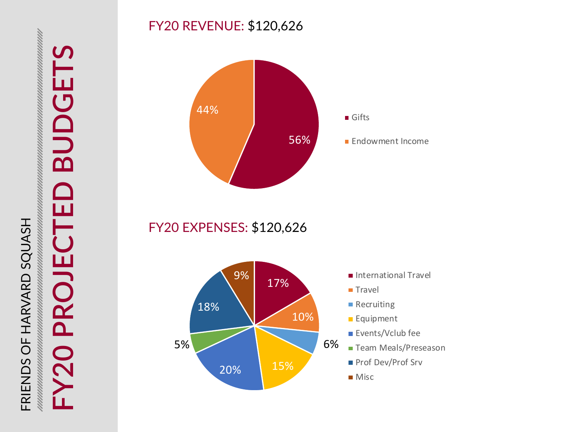# unan mengumuman mengumuman mengumuman mengumuman mengumuman mengumuman mengumuman mengumuman mengumu FRIENDS OF HARVARD SQUASH FRIENDS OF HARVARD SQUASH

# **FY20 PROJECTED BUDGETS** LL.  $\overline{\mathbf{C}}$  $\mathbf{\Omega}$ PRO  $\overline{\bf{O}}$

# FY20 REVENUE: \$120,626



FY20 EXPENSES: \$120,626

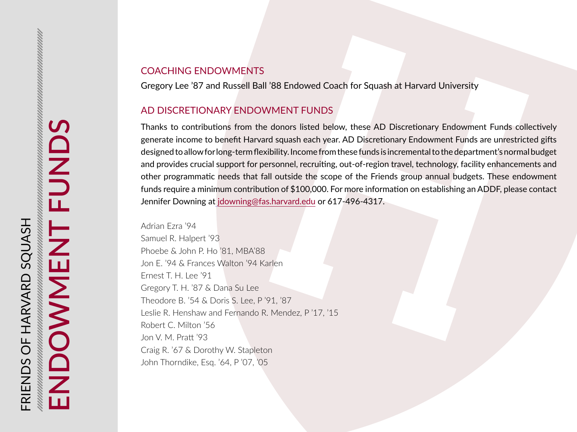# COACHING ENDOWMENTS

Gregory Lee '87 and Russell Ball '88 Endowed Coach for Squash at Harvard University

### AD DISCRETIONARY ENDOWMENT FUNDS

Thanks to contributions from the donors listed below, these AD Discretionary Endowment Funds collectively generate income to benefit Harvard squash each year. AD Discretionary Endowment Funds are unrestricted gifts designed to allow for long-term flexibility. Income from these funds is incremental to the department's normal budget and provides crucial support for personnel, recruiting, out-of-region travel, technology, facility enhancements and other programmatic needs that fall outside the scope of the Friends group annual budgets. These endowment funds require a minimum contribution of \$100,000. For more information on establishing an ADDF, please contact Jennifer Downing at [jdowning@fas.harvard.edu](mailto:%20jdowning%40fas.harvard.edu?subject=) or 617-496-4317.

Adrian Ezra '94 Samuel R. Halpert '93 Phoebe & John P. Ho '81, MBA'88 Jon E. '94 & Frances Walton '94 Karlen Ernest T. H. Lee '91 Gregory T. H. '87 & Dana Su Lee Theodore B. '54 & Doris S. Lee, P '91, '87 Leslie R. Henshaw and Fernando R. Mendez, P '17, '15 Robert C. Milton '56 Jon V. M. Pratt '93 Craig R. '67 & Dorothy W. Stapleton John Thorndike, Esq. '64, P '07, '05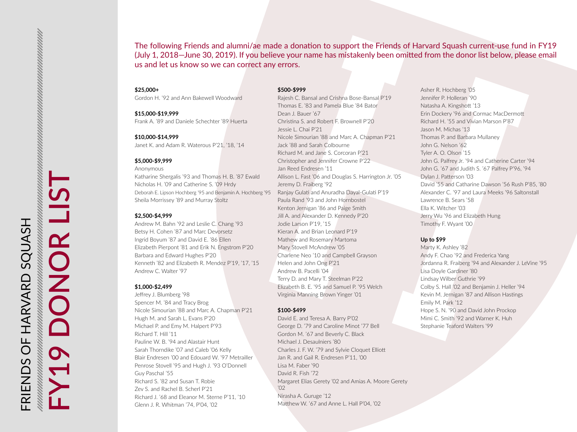The following Friends and alumni/ae made a donation to support the Friends of Harvard Squash current-use fund in FY19 (July 1, 2018—June 30, 2019). If you believe your name has mistakenly been omitted from the donor list below, please email us and let us know so we can correct any errors.

#### **\$25,000+**

Gordon H. '92 and Ann Bakewell Woodward

#### **\$15,000-\$19,999**

Frank A. '89 and Daniele Schechter '89 Huerta

#### **\$10,000-\$14,999**

Janet K. and Adam R. Waterous P'21, '18, '14

#### **\$5,000-\$9,999**

Anonymous

Katharine Shergalis '93 and Thomas H. B. '87 Ewald Nicholas H. '09 and Catherine S. '09 Hrdy Deborah E. Lipson Hochberg '95 and Benjamin A. Hochberg '95 Sheila Morrissey '89 and Murray Stoltz

#### **\$2,500-\$4,999**

Andrew M. Bahn '92 and Leslie C. Chang '93 Betsy H. Cohen '87 and Marc Devorsetz Ingrid Boyum '87 and David E. '86 Ellen Elizabeth Pierpont '81 and Erik N. Engstrom P'20 Barbara and Edward Hughes P'20 Kenneth '82 and Elizabeth R. Mendez P'19, '17, '15 Andrew C. Walter '97

#### **\$1,000-\$2,499**

Jeffrey J. Blumberg '98 Spencer M. '84 and Tracy Brog Nicole Simourian '88 and Marc A. Chapman P'21 Hugh M. and Sarah L. Evans P'20 Michael P. and Emy M. Halpert P'93 Richard T. Hill '11 Pauline W. B. '94 and Alastair Hunt Sarah Thorndike '07 and Caleb '06 Kelly Blair Endresen '00 and Edouard W. '97 Metrailler Penrose Stovell '95 and Hugh J. '93 O'Donnell Guy Paschal '55 Richard S. '82 and Susan T. Robie Zev S. and Rachel B. Scherl P'21 Richard J. '68 and Eleanor M. Sterne P'11, '10 Glenn J. R. Whitman '74, P'04, '02

#### **\$500-\$999**

Rajesh C. Bansal and Crishna Bose-Bansal P'19 Thomas E. '83 and Pamela Blue '84 Bator Dean J. Bauer '67 Christina S. and Robert F. Brownell P'20 Jessie L. Chai P'21 Nicole Simourian '88 and Marc A. Chapman P'21 Jack '88 and Sarah Colbourne Richard M. and Jane S. Corcoran P'21 Christopher and Jennifer Crowne P'22 Jan Reed Endresen '11 Allison L. Fast '06 and Douglas S. Harrington Jr. '05 Jeremy D. Fraiberg '92 Ranjay Gulati and Anuradha Dayal-Gulati P'19 Paula Rand '93 and John Hornbostel Kenton Jernigan '86 and Paige Smith Jill A. and Alexander D. Kennedy P'20 Jodie Larson P'19, '15 Kieran A. and Brian Leonard P'19 Mathew and Rosemary Martoma Mary Stovell McAndrew '05 Charlene Neo '10 and Campbell Grayson Helen and John Ong P'21 Andrew B. Pacelli '04 Terry D. and Mary T. Steelman P'22 Elizabeth B. E. '95 and Samuel P. '95 Welch Virginia Manning Brown Yinger '01

#### **\$100-\$499**

David E. and Teresa A. Barry P'02 George D. '79 and Caroline Minot '77 Bell Gordon M. '67 and Beverly C. Black Michael J. Desaulniers '80 Charles J. F. W. '79 and Sylvie Cloquet Elliott Jan R. and Gail R. Endresen P'11, '00 Lisa M. Faber '90 David R. Fish '72 Margaret Elias Gerety '02 and Amias A. Moore Gerety '02 Nirasha A. Guruge '12 Matthew W. '67 and Anne L. Hall P'04, '02

Asher R. Hochberg '05 Jennifer P. Holleran '90 Natasha A. Kingshott '13 Erin Dockery '96 and Cormac MacDermott Richard H. '55 and Vivian Marson P'87 Jason M. Michas '13 Thomas P. and Barbara Mullaney John G. Nelson '62 Tyler A. O. Olson '15 John G. Palfrey Jr. '94 and Catherine Carter '94 John G. '67 and Judith S. '67 Palfrey P'96, '94 Dylan J. Patterson '03 David '55 and Catharine Dawson '56 Rush P'85, '80 Alexander C. '97 and Laura Meeks '96 Saltonstall Lawrence B. Sears '58 Ella K. Witcher '03 Jerry Wu '96 and Elizabeth Hung Timothy F. Wyant '00

#### **Up to \$99**

Marty K. Ashley '82 Andy F. Chao '92 and Frederica Yang Jordanna R. Fraiberg '94 and Alexander J. LeVine '95 Lisa Doyle Gardiner '80 Lindsay Wilber Guthrie '99 Colby S. Hall '02 and Benjamin J. Heller '94 Kevin M. Jernigan '87 and Allison Hastings Emily M. Park '12 Hope S. N. '90 and David John Prockop Mimi C. Smith '92 and Warner K. Huh Stephanie Teaford Walters '99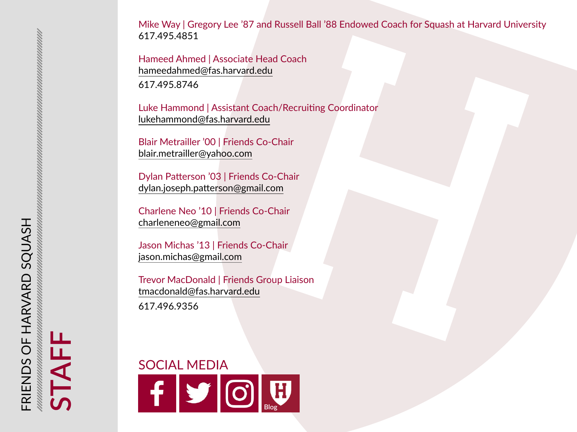Mike Way | Gregory Lee '87 and Russell Ball '88 Endowed Coach for Squash at Harvard University 617.495.4851

Hameed Ahmed | Associate Head Coach [hameedahmed@fas.harvard.edu](mailto:hameedahmed%40fas.harvard.edu?subject=Friends%20of%20Harvard%20Squash) 617.495.8746

Luke Hammond | Assistant Coach/Recruiting Coordinator [lukehammond@fas.harvard.edu](mailto:lukehammond%40fas.harvard.edu?subject=Friends%20of%20Harvard%20Squash)

Blair Metrailler '00 | Friends Co-Chair [blair.metrailler@yahoo.com](mailto:blair.metrailler%40yahoo.com?subject=Friends%20of%20Harvard%20Squash)

Dylan Patterson '03 | Friends Co-Chair [dylan.joseph.patterson@gmail.com](mailto:dylan.joseph.patterson%40gmail.com%20?subject=Friends%20of%20Harvard%20Squash)

Charlene Neo '10 | Friends Co-Chair charlenene[o@gmail.com](mailto:Charleneneo%40gmail.com?subject=Friends%20of%20Harvard%20Squash)

Jason Michas '13 | Friends Co-Chair [jason.michas@gmail.com](mailto:jason.michas%40gmail.com?subject=Friends%20of%20Harvard%20Squash)

Trevor MacDonald | Friends Group Liaison [tmacdonald@fas.harvard.edu](mailto:tmacdonald%40fas.harvard.edu?subject=Friends%20of%20Harvard%20Squash) 617.496.9356



**STAFF**